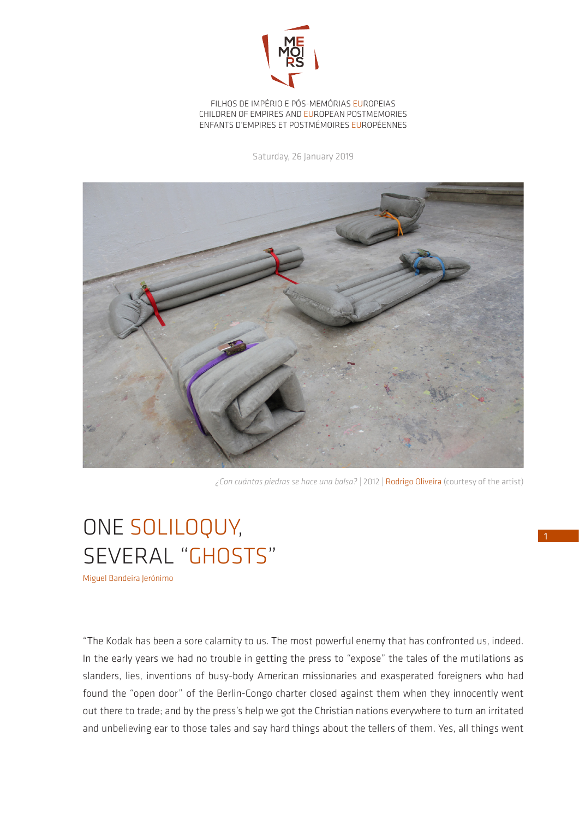

FILHOS DE IMPÉRIO E PÓS-MEMÓRIAS EUROPEIAS CHILDREN OF EMPIRES AND EUROPEAN POSTMEMORIES ENFANTS D'EMPIRES ET POSTMÉMOIRES EUROPÉENNES

Saturday, 26 January 2019



*¿Con cuántas piedras se hace una balsa?* | 2012 | Rodrigo Oliveira (courtesy of the artist)

## ONE SOLILOQUY, SEVERAL "GHOSTS"

Miguel Bandeira Jerónimo

"The Kodak has been a sore calamity to us. The most powerful enemy that has confronted us, indeed. In the early years we had no trouble in getting the press to "expose" the tales of the mutilations as slanders, lies, inventions of busy-body American missionaries and exasperated foreigners who had found the "open door" of the Berlin-Congo charter closed against them when they innocently went out there to trade; and by the press's help we got the Christian nations everywhere to turn an irritated and unbelieving ear to those tales and say hard things about the tellers of them. Yes, all things went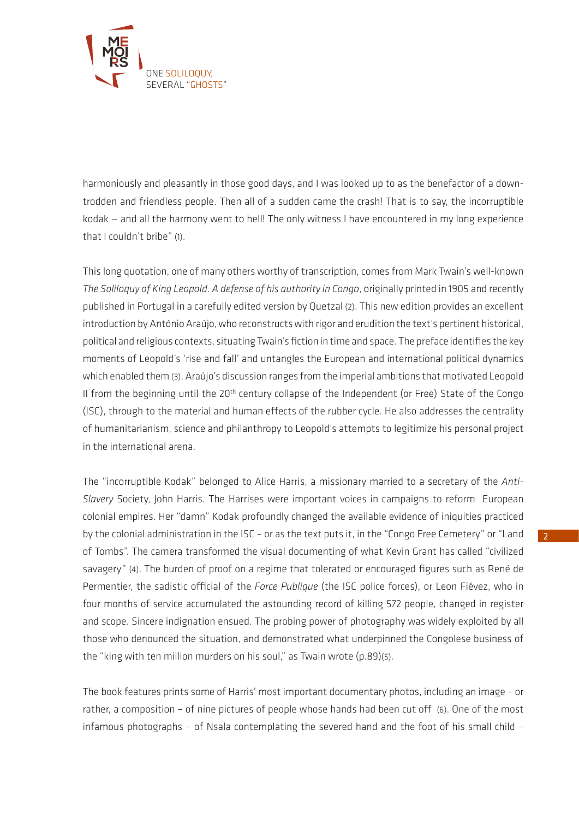

harmoniously and pleasantly in those good days, and I was looked up to as the benefactor of a downtrodden and friendless people. Then all of a sudden came the crash! That is to say, the incorruptible kodak — and all the harmony went to hell! The only witness I have encountered in my long experience that I couldn't bribe" (1).

This long quotation, one of many others worthy of transcription, comes from Mark Twain's well-known *The Soliloquy of King Leopold. A defense of his authority in Congo*, originally printed in 1905 and recently published in Portugal in a carefully edited version by Quetzal (2). This new edition provides an excellent introduction by António Araújo, who reconstructs with rigor and erudition the text's pertinent historical, political and religious contexts, situating Twain's fiction in time and space. The preface identifies the key moments of Leopold's 'rise and fall' and untangles the European and international political dynamics which enabled them (3). Araújo's discussion ranges from the imperial ambitions that motivated Leopold II from the beginning until the 20<sup>th</sup> century collapse of the Independent (or Free) State of the Congo (ISC), through to the material and human effects of the rubber cycle. He also addresses the centrality of humanitarianism, science and philanthropy to Leopold's attempts to legitimize his personal project in the international arena.

The "incorruptible Kodak" belonged to Alice Harris, a missionary married to a secretary of the *Anti-Slavery* Society, John Harris. The Harrises were important voices in campaigns to reform European colonial empires. Her "damn" Kodak profoundly changed the available evidence of iniquities practiced by the colonial administration in the ISC – or as the text puts it, in the "Congo Free Cemetery" or "Land of Tombs". The camera transformed the visual documenting of what Kevin Grant has called "civilized savagery" (4). The burden of proof on a regime that tolerated or encouraged figures such as René de Permentier, the sadistic official of the *Force Publique* (the ISC police forces), or Leon Fiévez, who in four months of service accumulated the astounding record of killing 572 people, changed in register and scope. Sincere indignation ensued. The probing power of photography was widely exploited by all those who denounced the situation, and demonstrated what underpinned the Congolese business of the "king with ten million murders on his soul," as Twain wrote (p.89)(5).

The book features prints some of Harris' most important documentary photos, including an image – or rather, a composition – of nine pictures of people whose hands had been cut off (6). One of the most infamous photographs – of Nsala contemplating the severed hand and the foot of his small child –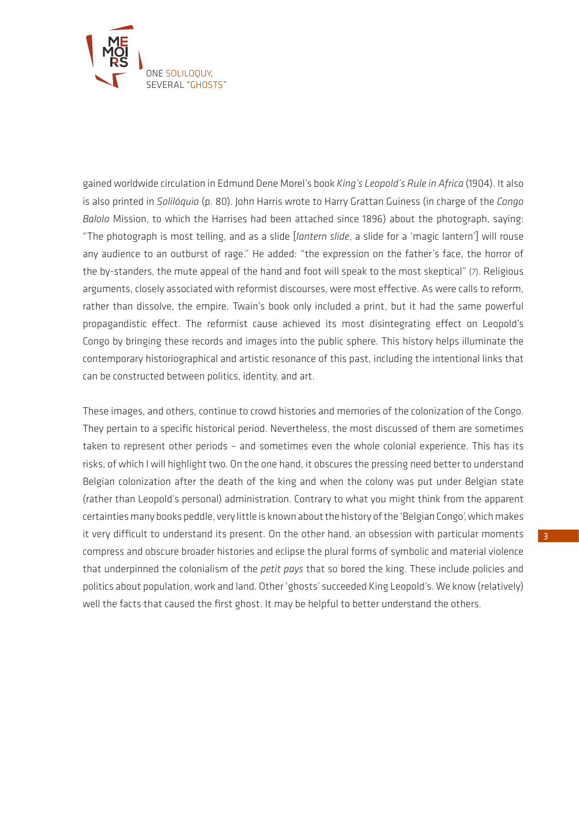

gained worldwide circulation in Edmund Dene Morel's book *King's Leopold's Rule in Africa* (1904). It also is also printed in *Solilóquio* (p. 80). John Harris wrote to Harry Grattan Guiness (in charge of the *Congo Balolo* Mission, to which the Harrises had been attached since 1896) about the photograph, saying: "The photograph is most telling, and as a slide [*lantern slide*, a slide for a 'magic lantern'] will rouse any audience to an outburst of rage." He added: "the expression on the father's face, the horror of the by-standers, the mute appeal of the hand and foot will speak to the most skeptical" (7). Religious arguments, closely associated with reformist discourses, were most effective. As were calls to reform, rather than dissolve, the empire. Twain's book only included a print, but it had the same powerful propagandistic effect. The reformist cause achieved its most disintegrating effect on Leopold's Congo by bringing these records and images into the public sphere. This history helps illuminate the contemporary historiographical and artistic resonance of this past, including the intentional links that can be constructed between politics, identity, and art.

These images, and others, continue to crowd histories and memories of the colonization of the Congo. They pertain to a specific historical period. Nevertheless, the most discussed of them are sometimes taken to represent other periods – and sometimes even the whole colonial experience. This has its risks, of which I will highlight two. On the one hand, it obscures the pressing need better to understand Belgian colonization after the death of the king and when the colony was put under Belgian state (rather than Leopold's personal) administration. Contrary to what you might think from the apparent certainties many books peddle, very little is known about the history of the 'Belgian Congo', which makes it very difficult to understand its present. On the other hand, an obsession with particular moments compress and obscure broader histories and eclipse the plural forms of symbolic and material violence that underpinned the colonialism of the *petit pays* that so bored the king. These include policies and politics about population, work and land. Other 'ghosts' succeeded King Leopold's. We know (relatively) well the facts that caused the first ghost. It may be helpful to better understand the others.